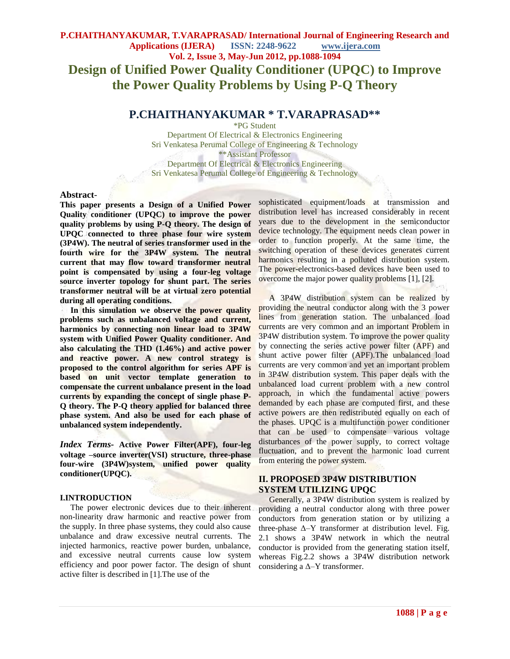# **P.CHAITHANYAKUMAR, T.VARAPRASAD/ International Journal of Engineering Research and Applications (IJERA) ISSN: 2248-9622 www.ijera.com Vol. 2, Issue 3, May-Jun 2012, pp.1088-1094 Design of Unified Power Quality Conditioner (UPQC) to Improve the Power Quality Problems by Using P-Q Theory**

## **P.CHAITHANYAKUMAR \* T.VARAPRASAD\*\***

\*PG Student

Department Of Electrical & Electronics Engineering Sri Venkatesa Perumal College of Engineering & Technology \*\*Assistant Professor Department Of Electrical & Electronics Engineering Sri Venkatesa Perumal College of Engineering & Technology

### **Abstract**-

**This paper presents a Design of a Unified Power Quality conditioner (UPQC) to improve the power quality problems by using P-Q theory. The design of UPQC connected to three phase four wire system (3P4W). The neutral of series transformer used in the fourth wire for the 3P4W system. The neutral current that may flow toward transformer neutral point is compensated by using a four-leg voltage source inverter topology for shunt part. The series transformer neutral will be at virtual zero potential during all operating conditions.**

 **In this simulation we observe the power quality problems such as unbalanced voltage and current, harmonics by connecting non linear load to 3P4W system with Unified Power Quality conditioner. And also calculating the THD (1.46%) and active power and reactive power. A new control strategy is proposed to the control algorithm for series APF is based on unit vector template generation to compensate the current unbalance present in the load currents by expanding the concept of single phase P-Q theory. The P-Q theory applied for balanced three phase system. And also be used for each phase of unbalanced system independently.** 

*Index Terms-* **Active Power Filter(APF), four-leg voltage –source inverter(VSI) structure, three-phase four-wire (3P4W)system, unified power quality conditioner(UPQC).**

#### **I.INTRODUCTION**

 The power electronic devices due to their inherent non-linearity draw harmonic and reactive power from the supply. In three phase systems, they could also cause unbalance and draw excessive neutral currents. The injected harmonics, reactive power burden, unbalance, and excessive neutral currents cause low system efficiency and poor power factor. The design of shunt active filter is described in [1].The use of the

sophisticated equipment/loads at transmission and distribution level has increased considerably in recent years due to the development in the semiconductor device technology. The equipment needs clean power in order to function properly. At the same time, the switching operation of these devices generates current harmonics resulting in a polluted distribution system. The power-electronics-based devices have been used to overcome the major power quality problems [1], [2].

 A 3P4W distribution system can be realized by providing the neutral conductor along with the 3 power lines from generation station. The unbalanced load currents are very common and an important Problem in 3P4W distribution system. To improve the power quality by connecting the series active power filter (APF) and shunt active power filter (APF).The unbalanced load currents are very common and yet an important problem in 3P4W distribution system. This paper deals with the unbalanced load current problem with a new control approach, in which the fundamental active powers demanded by each phase are computed first, and these active powers are then redistributed equally on each of the phases. UPQC is a multifunction power conditioner that can be used to compensate various voltage disturbances of the power supply, to correct voltage fluctuation, and to prevent the harmonic load current from entering the power system.

### **II. PROPOSED 3P4W DISTRIBUTION SYSTEM UTILIZING UPQC**

 Generally, a 3P4W distribution system is realized by providing a neutral conductor along with three power conductors from generation station or by utilizing a three-phase  $\Delta$ -Y transformer at distribution level. Fig. 2.1 shows a 3P4W network in which the neutral conductor is provided from the generating station itself, whereas Fig.2.2 shows a 3P4W distribution network considering a  $\Delta$ -Y transformer.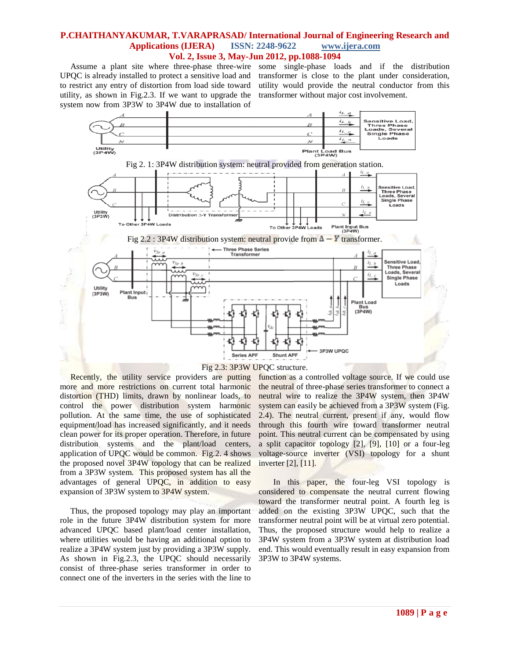UPQC is already installed to protect a sensitive load and to restrict any entry of distortion from load side toward utility, as shown in Fig.2.3. If we want to upgrade the system now from 3P3W to 3P4W due to installation of

 Assume a plant site where three-phase three-wire some single-phase loads and if the distribution transformer is close to the plant under consideration, utility would provide the neutral conductor from this transformer without major cost involvement.





 Recently, the utility service providers are putting more and more restrictions on current total harmonic distortion (THD) limits, drawn by nonlinear loads, to control the power distribution system harmonic pollution. At the same time, the use of sophisticated equipment/load has increased significantly, and it needs clean power for its proper operation. Therefore, in future distribution systems and the plant/load centers, application of UPQC would be common. Fig.2. 4 shows the proposed novel 3P4W topology that can be realized from a 3P3W system. This proposed system has all the advantages of general UPQC, in addition to easy expansion of 3P3W system to 3P4W system.

 Thus, the proposed topology may play an important role in the future 3P4W distribution system for more advanced UPQC based plant/load center installation, where utilities would be having an additional option to realize a 3P4W system just by providing a 3P3W supply. As shown in Fig.2.3, the UPQC should necessarily consist of three-phase series transformer in order to connect one of the inverters in the series with the line to

function as a controlled voltage source. If we could use the neutral of three-phase series transformer to connect a neutral wire to realize the 3P4W system, then 3P4W system can easily be achieved from a 3P3W system (Fig. 2.4). The neutral current, present if any, would flow through this fourth wire toward transformer neutral point. This neutral current can be compensated by using a split capacitor topology [2], [9], [10] or a four-leg voltage-source inverter (VSI) topology for a shunt inverter [2], [11].

 In this paper, the four-leg VSI topology is considered to compensate the neutral current flowing toward the transformer neutral point. A fourth leg is added on the existing 3P3W UPQC, such that the transformer neutral point will be at virtual zero potential. Thus, the proposed structure would help to realize a 3P4W system from a 3P3W system at distribution load end. This would eventually result in easy expansion from 3P3W to 3P4W systems.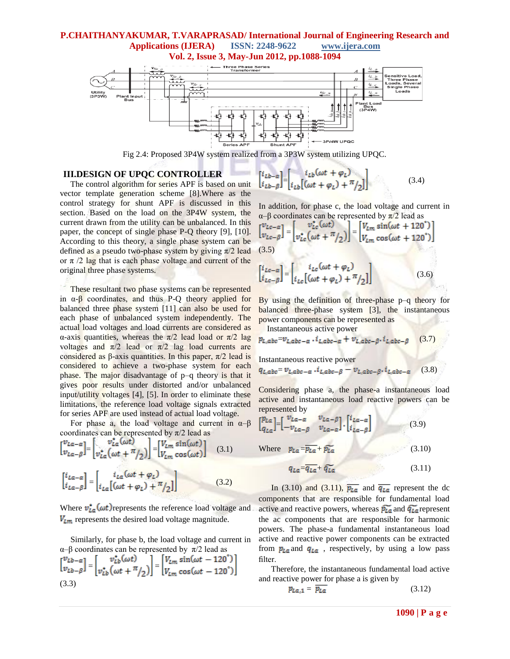

Fig 2.4: Proposed 3P4W system realized from a 3P3W system utilizing UPQC.

### **III.DESIGN OF UPQC CONTROLLER**

 The control algorithm for series APF is based on unit vector template generation scheme [8].Where as the control strategy for shunt APF is discussed in this section. Based on the load on the 3P4W system, the current drawn from the utility can be unbalanced. In this paper, the concept of single phase P-Q theory [9], [10]. According to this theory, a single phase system can be defined as a pseudo two-phase system by giving  $\pi/2$  lead or  $\pi$  /2 lag that is each phase voltage and current of the original three phase systems.

 These resultant two phase systems can be represented in  $\alpha$ - $\beta$  coordinates, and thus P-Q theory applied for balanced three phase system [11] can also be used for each phase of unbalanced system independently. The actual load voltages and load currents are considered as α-axis quantities, whereas the  $\pi/2$  lead load or  $\pi/2$  lag voltages and  $\pi/2$  lead or  $\pi/2$  lag load currents are considered as β-axis quantities. In this paper,  $π/2$  lead is considered to achieve a two-phase system for each phase. The major disadvantage of p–q theory is that it gives poor results under distorted and/or unbalanced input/utility voltages [4], [5]. In order to eliminate these limitations, the reference load voltage signals extracted for series APF are used instead of actual load voltage.

For phase a, the load voltage and current in  $\alpha-\beta$ coordinates can be represented by  $\pi/2$  lead as

$$
\begin{bmatrix} v_{La-a} \\ v_{La-\beta} \end{bmatrix} = \begin{bmatrix} v_{La}^*(\omega t) \\ v_{La}^*(\omega t + \pi/2) \end{bmatrix} = \begin{bmatrix} V_{Lm} \sin(\omega t) \\ V_{Lm} \cos(\omega t) \end{bmatrix} \quad (3.1)
$$

$$
\begin{bmatrix} i_{La-a} \\ i_{La-\beta} \end{bmatrix} = \begin{bmatrix} i_{La}(\omega t + \varphi_L) \\ i_{La}[(\omega t + \varphi_L) + \pi/2] \end{bmatrix} \quad (3.2)
$$

Where  $v_{La}^*(\omega t)$  represents the reference load voltage and  $V_{\text{Lm}}$  represents the desired load voltage magnitude.

 Similarly, for phase b, the load voltage and current in α–β coordinates can be represented by π/2 lead as

$$
\begin{bmatrix} v_{Lb-\alpha} \\ v_{Lb-\beta} \end{bmatrix} = \begin{bmatrix} v_{Lb}^* (\omega t) \\ v_{Lb}^* (\omega t + \pi/2) \end{bmatrix} = \begin{bmatrix} V_{Lm} \sin(\omega t - 120^\circ) \\ V_{Lm} \cos(\omega t - 120^\circ) \end{bmatrix}
$$
  
(3.3)

$$
\begin{bmatrix} i_{Lb-\alpha} \\ i_{Lb-\beta} \end{bmatrix} = \begin{bmatrix} i_{Lb}(\omega t + \varphi_L) \\ i_{Lb}[(\omega t + \varphi_L) + \pi/2] \end{bmatrix}
$$
(3.4)

In addition, for phase c, the load voltage and current in α–β coordinates can be represented by π/2 lead as

$$
\begin{bmatrix} v_{Lc-\alpha} \\ v_{Lc-\beta} \end{bmatrix} = \begin{bmatrix} v_{Lc}^* (\omega t) \\ v_{Lc}^* (\omega t + \frac{\pi}{2}) \end{bmatrix} = \begin{bmatrix} V_{Lm} \sin(\omega t + 120^\circ) \\ V_{Lm} \cos(\omega t + 120^\circ) \end{bmatrix}
$$
  
(3.5)

$$
\begin{bmatrix} i_{Lc-\alpha} \\ i_{Lc-\beta} \end{bmatrix} = \begin{bmatrix} i_{Lc}(\omega t + \varphi_L) \\ i_{Lc}[(\omega t + \varphi_L) + \pi/2] \end{bmatrix}
$$
(3.6)

By using the definition of three-phase p–q theory for balanced three-phase system [3], the instantaneous power components can be represented as Instantaneous active power

$$
p_{L,abc} = v_{Labc-a} \cdot i_{Labc-a} + v_{L,abc-B} \cdot i_{Labc-B} \quad (3.7)
$$

Instantaneous reactive power

$$
q_{L,abc} = v_{L,abc-a} \cdot i_{L,abc-\beta} - v_{L,abc-\beta} \cdot i_{L,abc-a} \tag{3.8}
$$

Considering phase a, the phase-a instantaneous load active and instantaneous load reactive powers can be represented by

$$
\begin{bmatrix} p_{La} \\ q_{La} \end{bmatrix} = \begin{bmatrix} v_{La-\alpha} & v_{La-\beta} \\ -v_{La-\beta} & v_{La-\alpha} \end{bmatrix} \cdot \begin{bmatrix} i_{La-\alpha} \\ i_{La-\beta} \end{bmatrix}
$$
 (3.9)

Where  $p_{La} = \overline{p_{La}} + \widetilde{p_{La}}$  (3.10)

$$
q_{La} = \overline{q_{La}} + \widetilde{q_{La}} \tag{3.11}
$$

In (3.10) and (3.11),  $\overline{p_{La}}$  and  $\overline{q_{La}}$  represent the dc components that are responsible for fundamental load active and reactive powers, whereas  $\widetilde{p_{L\alpha}}$  and  $\widetilde{q_{L\alpha}}$  represent the ac components that are responsible for harmonic powers. The phase-a fundamental instantaneous load active and reactive power components can be extracted from  $p_{La}$  and  $q_{La}$ , respectively, by using a low pass filter.

 Therefore, the instantaneous fundamental load active and reactive power for phase a is given by

$$
p_{La,1} = \overline{p_{La}} \tag{3.12}
$$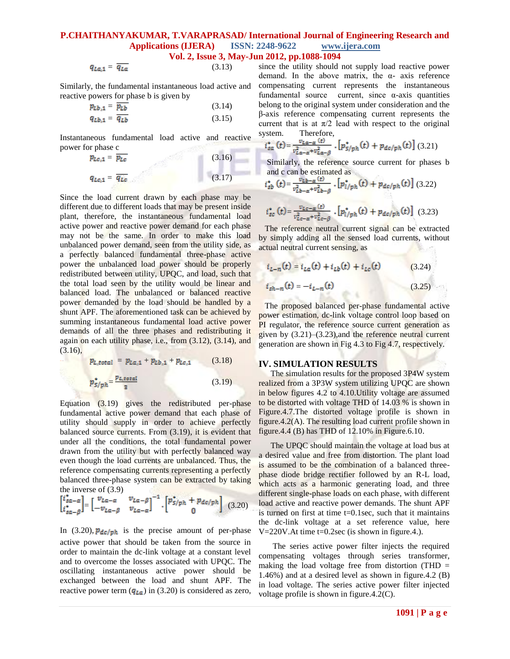$$
q_{La,1} = \overline{q_{La}} \tag{3.13}
$$

Similarly, the fundamental instantaneous load active and reactive powers for phase b is given by

$$
p_{Lb,1} = \frac{\overline{p_{Lb}}}{q_{Lb,1}} \tag{3.14}
$$
\n
$$
q_{Lb,1} = \overline{q_{Lb}} \tag{3.15}
$$

Instantaneous fundamental load active and reactive power for phase c

$$
p_{Lc,1} = \overline{p_{Lc}}
$$
(3.16)  

$$
q_{Lc,1} = \overline{q_{Lc}}
$$
(3.17)

Since the load current drawn by each phase may be different due to different loads that may be present inside plant, therefore, the instantaneous fundamental load active power and reactive power demand for each phase may not be the same. In order to make this load unbalanced power demand, seen from the utility side, as a perfectly balanced fundamental three-phase active power the unbalanced load power should be properly redistributed between utility, UPQC, and load, such that the total load seen by the utility would be linear and balanced load. The unbalanced or balanced reactive power demanded by the load should be handled by a shunt APF. The aforementioned task can be achieved by summing instantaneous fundamental load active power demands of all the three phases and redistributing it again on each utility phase, i.e., from (3.12), (3.14), and  $(3.16)$ ,

 $p_{L,total} = p_{La,1} + p_{Lb,1} + p_{Lc,1}$  (3.18)

$$
p_{S/ph}^* = \frac{p_{L,total}}{3} \tag{3.19}
$$

Equation (3.19) gives the redistributed per-phase fundamental active power demand that each phase of utility should supply in order to achieve perfectly balanced source currents. From (3.19), it is evident that under all the conditions, the total fundamental power drawn from the utility but with perfectly balanced way even though the load currents are unbalanced. Thus, the reference compensating currents representing a perfectly balanced three-phase system can be extracted by taking the inverse of (3.9)

$$
\begin{bmatrix} i_{sa-\alpha}^* \\ i_{sa-\beta}^* \end{bmatrix} = \begin{bmatrix} v_{La-\alpha} & v_{La-\beta} \\ -v_{La-\beta} & v_{La-\alpha} \end{bmatrix}^{-1} \cdot \begin{bmatrix} p_{s/ph}^* + p_{dc/ph} \\ 0 \end{bmatrix} \tag{3.20}
$$

In (3.20),  $p_{dc/ph}$  is the precise amount of per-phase active power that should be taken from the source in order to maintain the dc-link voltage at a constant level and to overcome the losses associated with UPQC. The oscillating instantaneous active power should be exchanged between the load and shunt APF. The reactive power term  $(q_{La})$  in (3.20) is considered as zero, since the utility should not supply load reactive power demand. In the above matrix, the  $\alpha$ - axis reference compensating current represents the instantaneous fundamental source current, since  $\alpha$ -axis quantities belong to the original system under consideration and the β-axis reference compensating current represents the current that is at  $\pi/2$  lead with respect to the original system. Therefore,

$$
i_{sa}^{*}(t) = \frac{v_{La-a}(t)}{v_{La-a}^{2} + v_{La-\beta}^{2}} \cdot [p_{S/ph}^{*}(t) + p_{dc/ph}(t)] \tag{3.21}
$$

Similarly, the reference source current for phases b and c can be estimated as

$$
i_{sb}^{*}(t) = \frac{v_{Lb-\alpha}(t)}{v_{Lb-\alpha}^{2} + v_{Lb-\beta}^{2}} \cdot [p_{l/ph}^{*}(t) + p_{dc/ph}(t)] \tag{3.22}
$$

$$
i_{sc}^{*}\left(t\right) = \frac{v_{Lc-\alpha}\left(t\right)}{v_{Lc-\alpha}^{2} + v_{Lc-\beta}^{2}} \cdot \left[p_{l/ph}^{*}\left(t\right) + p_{dc/ph}\left(t\right)\right] \tag{3.23}
$$

The reference neutral current signal can be extracted by simply adding all the sensed load currents, without actual neutral current sensing, as x

$$
i_{L-n}(t) = i_{La}(t) + i_{Lb}(t) + i_{Lc}(t)
$$
\n(3.24)

$$
i_{sh-n}(t) = -i_{L-n}(t)
$$
 (3.25)

 The proposed balanced per-phase fundamental active power estimation, dc-link voltage control loop based on PI regulator, the reference source current generation as given by (3.21)–(3.23),and the reference neutral current generation are shown in Fig 4.3 to Fig 4.7, respectively.

#### **IV. SIMULATION RESULTS**

The simulation results for the proposed 3P4W system realized from a 3P3W system utilizing UPQC are shown in below figures 4.2 to 4.10.Utility voltage are assumed to be distorted with voltage THD of 14.03 % is shown in Figure.4.7.The distorted voltage profile is shown in figure.4.2(A). The resulting load current profile shown in figure.4.4 (B) has THD of 12.10% in Figure.6.10.

The UPQC should maintain the voltage at load bus at a desired value and free from distortion. The plant load is assumed to be the combination of a balanced threephase diode bridge rectifier followed by an R-L load, which acts as a harmonic generating load, and three different single-phase loads on each phase, with different load active and reactive power demands. The shunt APF is turned on first at time t=0.1sec, such that it maintains the dc-link voltage at a set reference value, here  $V=220V.A$ t time t=0.2sec (is shown in figure.4.).

The series active power filter injects the required compensating voltages through series transformer, making the load voltage free from distortion (THD  $=$ 1.46%) and at a desired level as shown in figure.4.2 (B) in load voltage. The series active power filter injected voltage profile is shown in figure.4.2(C).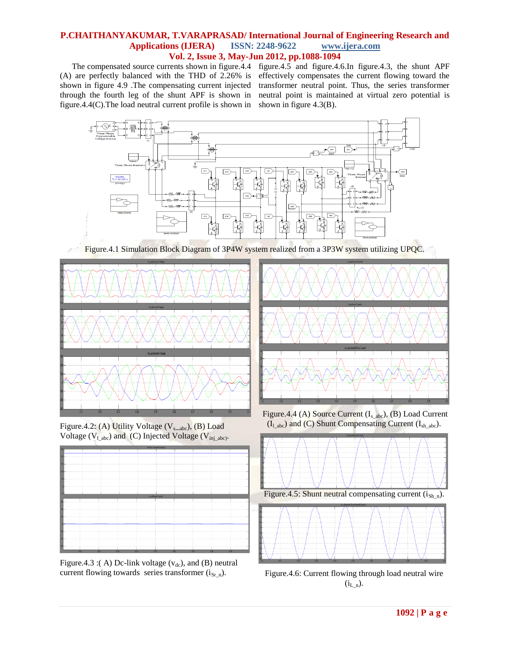(A) are perfectly balanced with the THD of 2.26% is shown in figure 4.9 .The compensating current injected through the fourth leg of the shunt APF is shown in figure.4.4(C).The load neutral current profile is shown in

The compensated source currents shown in figure.4.4 figure.4.5 and figure.4.6.In figure.4.3, the shunt APF effectively compensates the current flowing toward the transformer neutral point. Thus, the series transformer neutral point is maintained at virtual zero potential is shown in figure 4.3(B).



Figure.4.1 Simulation Block Diagram of 3P4W system realized from a 3P3W system utilizing UPQC.



Figure.4.2: (A) Utility Voltage  $(V_{s<sub>-abc</sub>})$ , (B) Load Voltage ( $V_{\text{l}\_abc}$ ) and (C) Injected Voltage ( $V_{\text{in}\_abc}$ ).



Figure.4.3 :( A) Dc-link voltage  $(v_{dc})$ , and (B) neutral current flowing towards series transformer  $(i_{Sr_n})$ .



Figure.4.4 (A) Source Current  $(I<sub>s</sub>_{abc})$ , (B) Load Current  $(I<sub>l</sub>$ <sub>abc</sub>) and (C) Shunt Compensating Current  $(I<sub>sh</sub>$ <sub>abc</sub>).



Figure.4.6: Current flowing through load neutral wire  $(i_{L_n})$ .